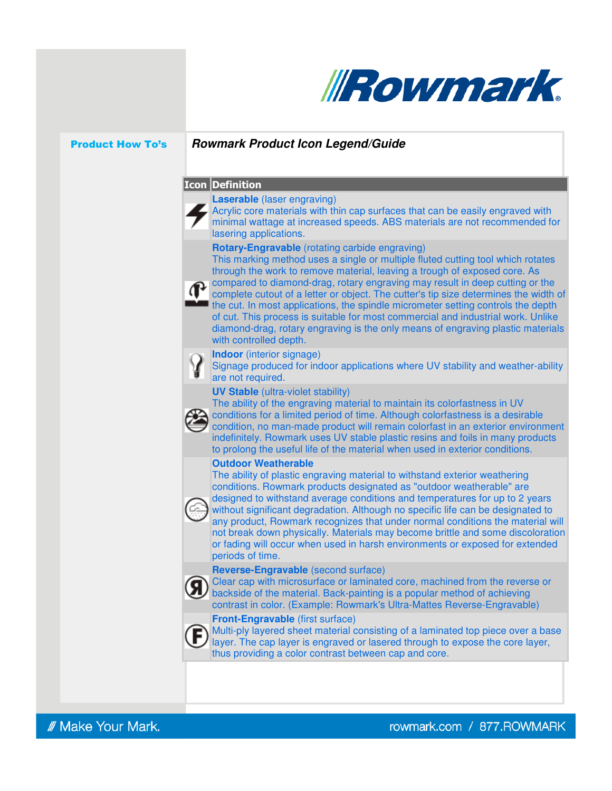